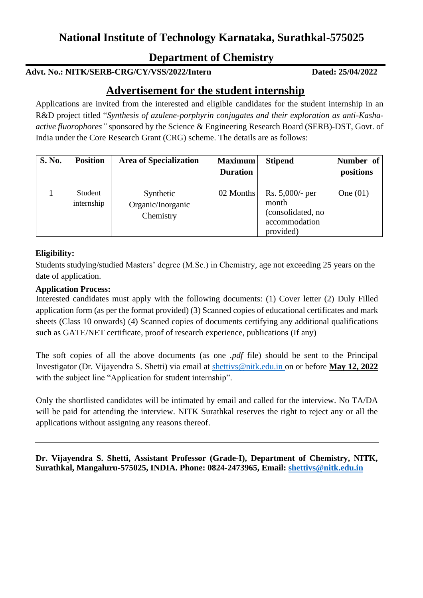## **National Institute of Technology Karnataka, Surathkal-575025**

## **Department of Chemistry**

## **Advt. No.: NITK/SERB-CRG/CY/VSS/2022/Intern Dated: 25/04/2022**

## **Advertisement for the student internship**

Applications are invited from the interested and eligible candidates for the student internship in an R&D project titled "*Synthesis of azulene-porphyrin conjugates and their exploration as anti-Kashaactive fluorophores"* sponsored by the Science & Engineering Research Board (SERB)-DST, Govt. of India under the Core Research Grant (CRG) scheme. The details are as follows:

| <b>S. No.</b> | <b>Position</b> | <b>Area of Specialization</b> | <b>Maximum</b>  | <b>Stipend</b>    | Number of  |
|---------------|-----------------|-------------------------------|-----------------|-------------------|------------|
|               |                 |                               | <b>Duration</b> |                   | positions  |
|               |                 |                               |                 |                   |            |
|               | Student         | Synthetic                     | 02 Months       | Rs. $5,000$ - per | One $(01)$ |
|               | internship      | Organic/Inorganic             |                 | month             |            |
|               |                 | Chemistry                     |                 | (consolidated, no |            |
|               |                 |                               |                 | accommodation     |            |
|               |                 |                               |                 | provided)         |            |

#### **Eligibility:**

Students studying/studied Masters' degree (M.Sc.) in Chemistry, age not exceeding 25 years on the date of application.

#### **Application Process:**

Interested candidates must apply with the following documents: (1) Cover letter (2) Duly Filled application form (as per the format provided) (3) Scanned copies of educational certificates and mark sheets (Class 10 onwards) (4) Scanned copies of documents certifying any additional qualifications such as GATE/NET certificate, proof of research experience, publications (If any)

The soft copies of all the above documents (as one *.pdf* file) should be sent to the Principal Investigator (Dr. Vijayendra S. Shetti) via email at [shettivs@nitk.edu.in](mailto:udayakumar@nitk.edu.in) on or before **May 12, 2022** with the subject line "Application for student internship".

Only the shortlisted candidates will be intimated by email and called for the interview. No TA/DA will be paid for attending the interview. NITK Surathkal reserves the right to reject any or all the applications without assigning any reasons thereof.

**Dr. Vijayendra S. Shetti, Assistant Professor (Grade-I), Department of Chemistry, NITK, Surathkal, Mangaluru-575025, INDIA. Phone: 0824-2473965, Email: [shettivs@nitk.edu.in](mailto:udayakumar@nitk.edu.in)**